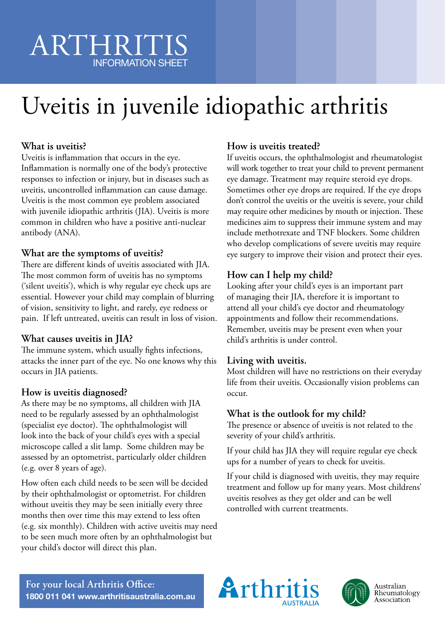# ARTHRITIS INFORMATION SHEET

# Uveitis in juvenile idiopathic arthritis

# **What is uveitis?**

Uveitis is inflammation that occurs in the eye. Inflammation is normally one of the body's protective responses to infection or injury, but in diseases such as uveitis, uncontrolled inflammation can cause damage. Uveitis is the most common eye problem associated with juvenile idiopathic arthritis (JIA). Uveitis is more common in children who have a positive anti-nuclear antibody (ANA).

# **What are the symptoms of uveitis?**

There are different kinds of uveitis associated with JIA. The most common form of uveitis has no symptoms ('silent uveitis'), which is why regular eye check ups are essential. However your child may complain of blurring of vision, sensitivity to light, and rarely, eye redness or pain. If left untreated, uveitis can result in loss of vision.

# **What causes uveitis in JIA?**

The immune system, which usually fights infections, attacks the inner part of the eye. No one knows why this occurs in JIA patients.

# **How is uveitis diagnosed?**

As there may be no symptoms, all children with JIA need to be regularly assessed by an ophthalmologist (specialist eye doctor). The ophthalmologist will look into the back of your child's eyes with a special microscope called a slit lamp. Some children may be assessed by an optometrist, particularly older children (e.g. over 8 years of age).

How often each child needs to be seen will be decided by their ophthalmologist or optometrist. For children without uveitis they may be seen initially every three months then over time this may extend to less often (e.g. six monthly). Children with active uveitis may need to be seen much more often by an ophthalmologist but your child's doctor will direct this plan.

### **How is uveitis treated?**

If uveitis occurs, the ophthalmologist and rheumatologist will work together to treat your child to prevent permanent eye damage. Treatment may require steroid eye drops. Sometimes other eye drops are required. If the eye drops don't control the uveitis or the uveitis is severe, your child may require other medicines by mouth or injection. These medicines aim to suppress their immune system and may include methotrexate and TNF blockers. Some children who develop complications of severe uveitis may require eye surgery to improve their vision and protect their eyes.

# **How can I help my child?**

Looking after your child's eyes is an important part of managing their JIA, therefore it is important to attend all your child's eye doctor and rheumatology appointments and follow their recommendations. Remember, uveitis may be present even when your child's arthritis is under control.

# **Living with uveitis.**

Most children will have no restrictions on their everyday life from their uveitis. Occasionally vision problems can occur.

# **What is the outlook for my child?**

The presence or absence of uveitis is not related to the severity of your child's arthritis.

If your child has JIA they will require regular eye check ups for a number of years to check for uveitis.

If your child is diagnosed with uveitis, they may require treatment and follow up for many years. Most childrens' uveitis resolves as they get older and can be well controlled with current treatments.